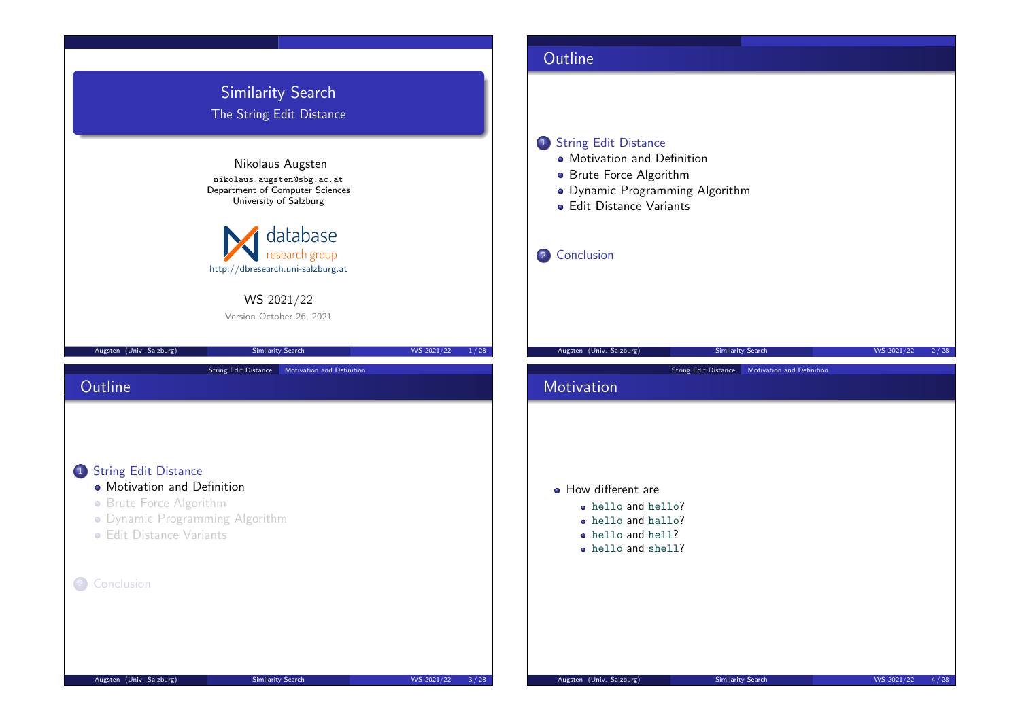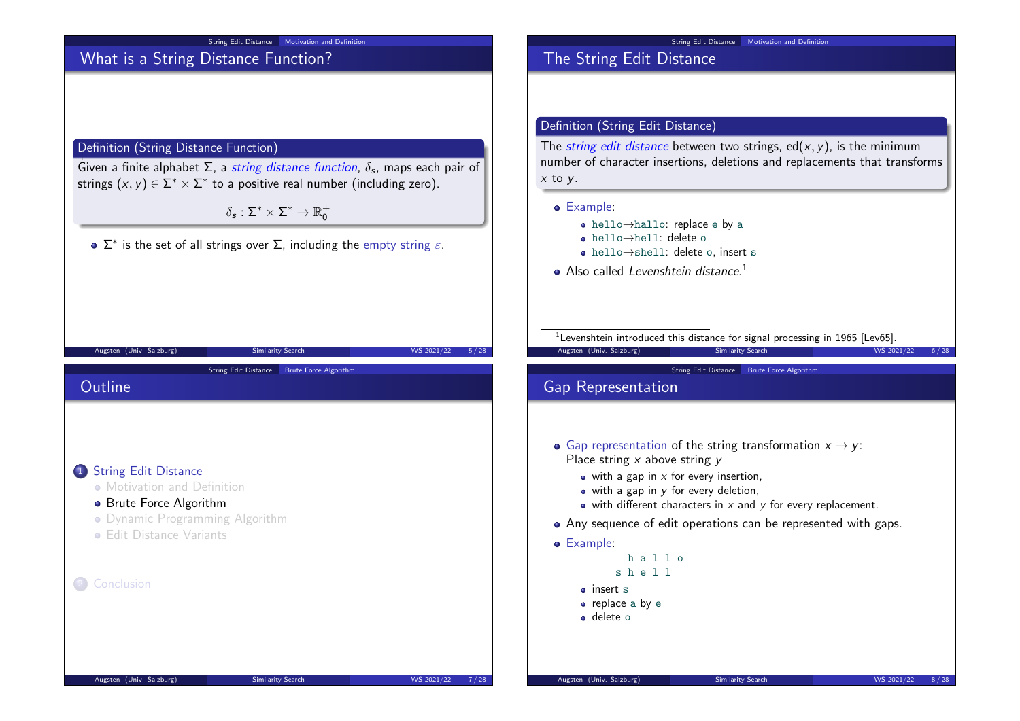

## What is a String Distance Function?

#### Definition (String Distance Function)

Given a finite alphabet Σ, a string distance function,  $\delta_s$ , maps each pair of strings  $(x, y) \in \Sigma^* \times \Sigma^*$  to a positive real number (including zero).

 $\delta_{\mathsf{s}}: \Sigma^* \times \Sigma^* \to \mathbb{R}_0^+$ 

 $\Sigma^*$  is the set of all strings over  $\Sigma$ , including the empty string  $\varepsilon.$ 

Augsten (Univ. Salzburg) Similarity Search WS 2021/22 5/28

String Edit Distance Brute Force Algorithm

#### String Edit Distance | Motivation and Definition

### The String Edit Distance

### Definition (String Edit Distance)

The *string edit distance* between two strings, ed( $x$ ,  $y$ ), is the minimum number of character insertions, deletions and replacements that transforms  $x$  to  $y$ .

#### Example:

- hello→hallo: replace e by a
- hello→hell: delete o
- hello→shell: delete o, insert s
- Also called Levenshtein distance.<sup>1</sup>

<sup>1</sup> Levenshtein introduced this distance for signal processing in 1965 [Lev65].

Augsten (Univ. Salzburg) Similarity Search WS 2021/22 6/28

#### String Edit Distance Brute Force Algorithm

### Gap Representation

- Gap representation of the string transformation  $x \to y$ : Place string  $x$  above string  $y$ 
	- $\bullet$  with a gap in x for every insertion,
	- $\bullet$  with a gap in  $\gamma$  for every deletion,
	- $\bullet$  with different characters in x and y for every replacement.
- Any sequence of edit operations can be represented with gaps.

#### Example:

```
h a l l o
s h e l l
```
- insert s
- replace a by e
- delete o

1 String Edit Distance

2 Conclusion

• Motivation and Definition **•** Brute Force Algorithm

**• Edit Distance Variants** 

Dynamic Programming Algorithm

**Outline**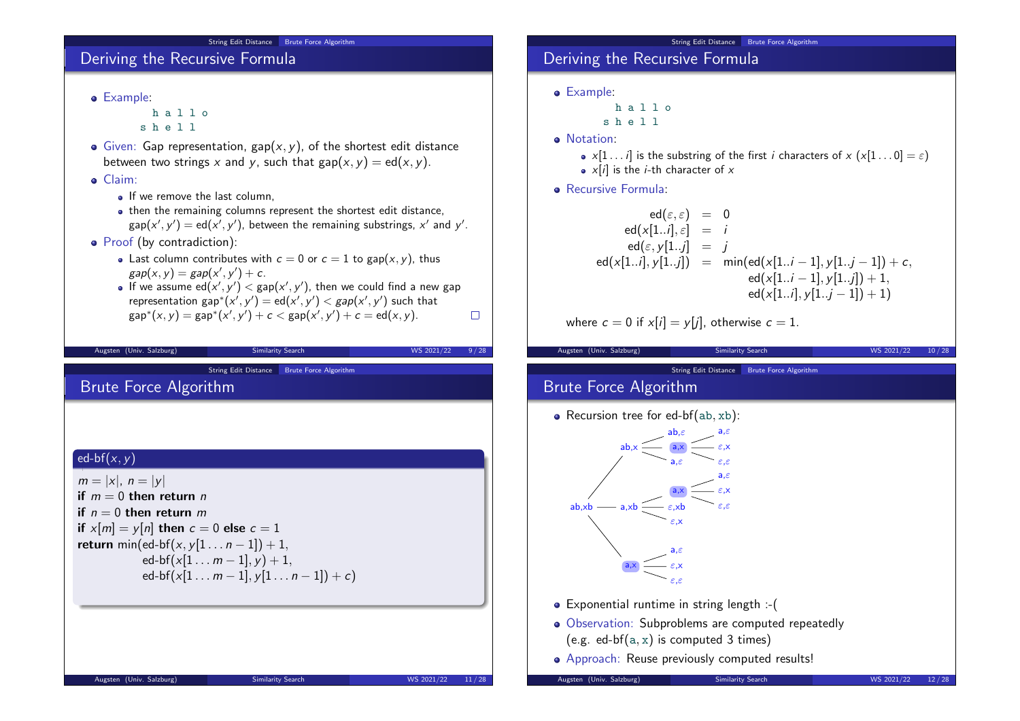#### String Edit Distance Brute Force Algorithm

### Deriving the Recursive Formula

Example:

h a l l o s h e l l

- $\bullet$  Given: Gap representation, gap(x, y), of the shortest edit distance between two strings x and y, such that  $gap(x, y) = ed(x, y)$ .
- Claim:
	- **If we remove the last column**
	- then the remaining columns represent the shortest edit distance,  $\mathsf{gap}(\mathsf{x}', \mathsf{y}') = \mathsf{ed}(\mathsf{x}', \mathsf{y}'),$  between the remaining substrings,  $\mathsf{x}'$  and  $\mathsf{y}'.$
- Proof (by contradiction):
	- Last column contributes with  $c = 0$  or  $c = 1$  to gap $(x, y)$ , thus  $gap(x, y) = gap(x', y') + c.$
	- If we assume  $\mathsf{ed}(x',y') < \mathsf{gap}(x',y')$ , then we could find a new gap representation  $\mathsf{gap}^*(x',y') = \mathsf{ed}(x',y') < \mathsf{gap}(x',y')$  such that  $\mathsf{gap}^*(x,y) = \mathsf{gap}^*(x',y') + c < \mathsf{gap}(x',y') + c = \mathsf{ed}(x,y).$  $\Box$

Augsten (Univ. Salzburg) Similarity Search WS 2021/22 9/28

String Edit Distance Brute Force Algorithm

## Brute Force Algorithm

#### $\int$ ed-bf $(x, y)$

 $m = |x|, n = |y|$ if  $m = 0$  then return n if  $n = 0$  then return m if  $x[m] = y[n]$  then  $c = 0$  else  $c = 1$ return min(ed-bf(x, y[1 . . .  $n - 1$ ]) + 1, ed-bf( $x[1 \ldots m-1]$ ,  $y$ ) + 1, ed-bf(x[1 . . .  $m - 1$ ], y[1 . . .  $n - 1$ ]) + c)

### String Edit Distance Brute Force Algorithm Deriving the Recursive Formula

Example:

h a l l o s h e l l

- 
- **o** Notation:
	- $x[1 \dots i]$  is the substring of the first i characters of  $x(x[1 \dots 0] = \varepsilon)$
	- $x[i]$  is the *i*-th character of  $x$
- Recursive Formula:

$$
ed(\varepsilon, \varepsilon) = 0
$$
  
\n
$$
ed(x[1..i], \varepsilon] = i
$$
  
\n
$$
ed(\varepsilon, y[1..j] = j
$$
  
\n
$$
ed(x[1..i], y[1..j]) = min(ed(x[1..i-1], y[1..j-1]) + c,
$$
  
\n
$$
ed(x[1..i-1], y[1..j]) + 1,
$$
  
\n
$$
ed(x[1..i], y[1..j-1]) + 1)
$$

where  $c = 0$  if  $x[i] = y[j]$ , otherwise  $c = 1$ .

| Augsten (Univ. Salzburg)                                                             | Similarity Search                                                                                                                                                                                                                                                                                                         | WS 2021/22<br>10/28 |  |
|--------------------------------------------------------------------------------------|---------------------------------------------------------------------------------------------------------------------------------------------------------------------------------------------------------------------------------------------------------------------------------------------------------------------------|---------------------|--|
| String Edit Distance<br><b>Brute Force Algorithm</b><br><b>Brute Force Algorithm</b> |                                                                                                                                                                                                                                                                                                                           |                     |  |
| • Recursion tree for ed-bf( $ab, xb$ ):                                              |                                                                                                                                                                                                                                                                                                                           |                     |  |
| ab.x<br>$ab$ , $xb$<br>a,xb<br>a, x                                                  | $ab, \varepsilon$<br>$a,\varepsilon$<br>a, x<br>$\varepsilon$ , $x$<br>$a, \varepsilon$<br>$\varepsilon,\varepsilon$<br>$a, \varepsilon$<br>$\varepsilon$ , $x$<br>a, x<br>$\varepsilon,\varepsilon$<br>$\varepsilon$ ,xb<br>$\varepsilon$ ,X<br>$a, \varepsilon$<br>$\varepsilon$ , $x$<br>$\varepsilon$ . $\varepsilon$ |                     |  |
|                                                                                      | • Exponential runtime in string length :- (                                                                                                                                                                                                                                                                               |                     |  |
|                                                                                      | • Observation: Subproblems are computed repeatedly<br>(e.g. ed-bf $(a, x)$ is computed 3 times)                                                                                                                                                                                                                           |                     |  |
|                                                                                      | • Approach: Reuse previously computed results!                                                                                                                                                                                                                                                                            |                     |  |

Augsten (Univ. Salzburg) Similarity Search WS 2021/22 12 / 28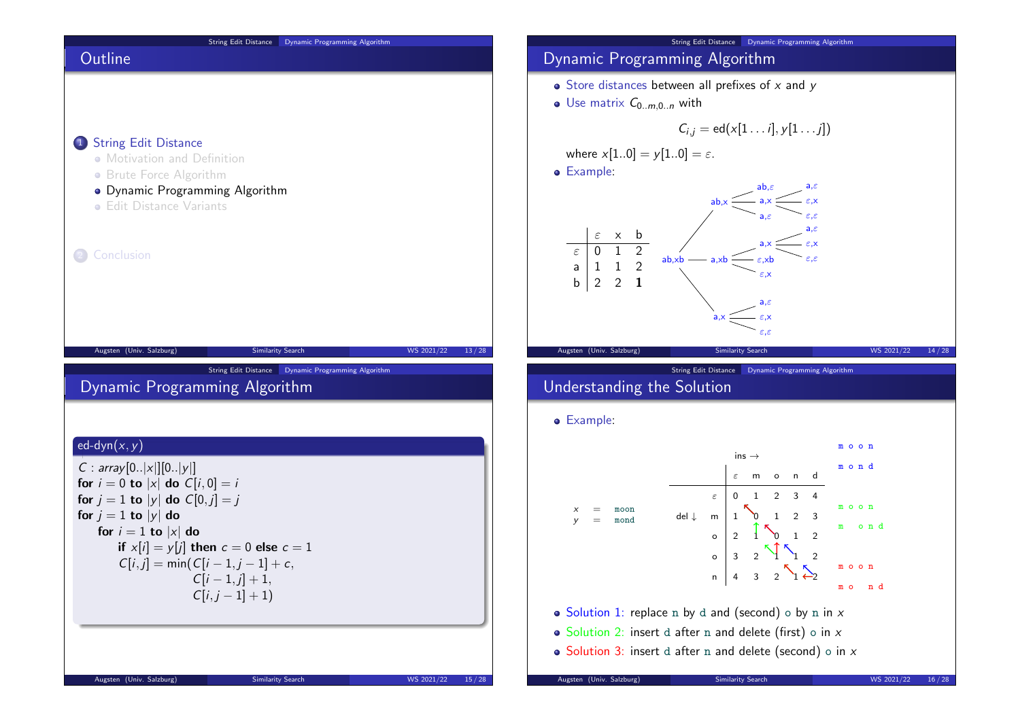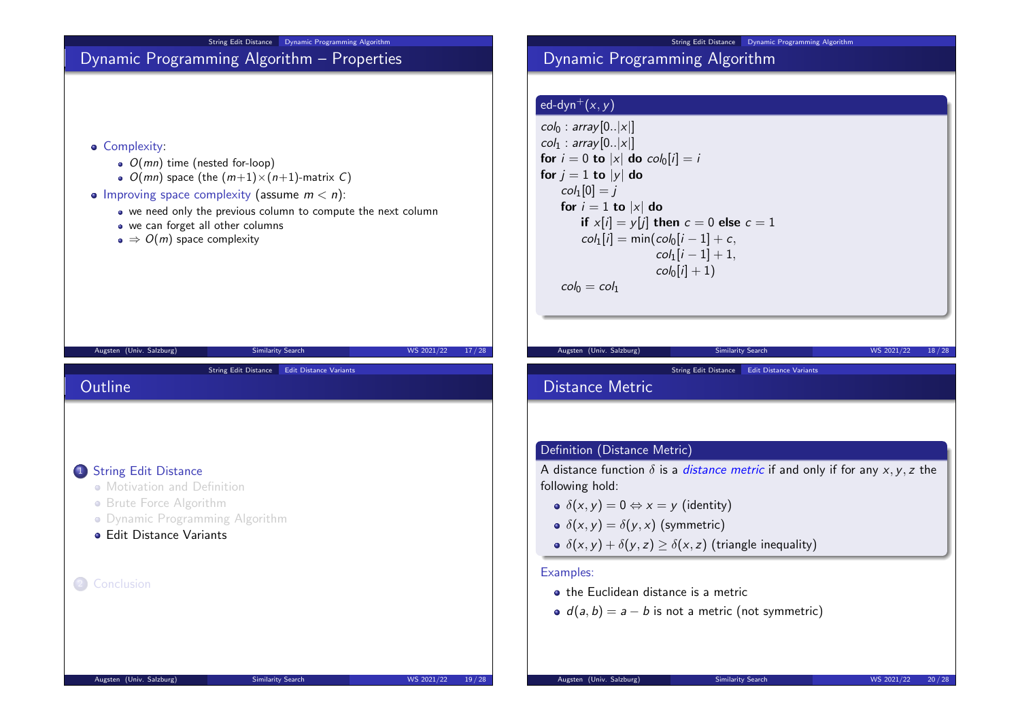

String Edit Distance Dynamic Programming Algorithm

# Dynamic Programming Algorithm

### ed-dyn<sup>+</sup> $(x, y)$

 $col_0$ : array $[0..|x|]$  $col_1$ : array $[0..|x|]$ for  $i = 0$  to  $|x|$  do  $col_0[i] = i$ for  $j = 1$  to  $|y|$  do  $col_1[0] = j$ for  $i = 1$  to  $|x|$  do if  $x[i] = y[i]$  then  $c = 0$  else  $c = 1$  $col_1[i] = min(col_0[i-1] + c,$  $col_1[i - 1] + 1,$  $col_0[i] + 1$  $col_0 = col_1$ 

#### String Edit Distance Edit Distance Variants

# Distance Metric

### Definition (Distance Metric)

A distance function  $\delta$  is a *distance metric* if and only if for any x, y, z the following hold:

Augsten (Univ. Salzburg) Similarity Search WS 2021/22 18/28

- $\delta(x, y) = 0 \Leftrightarrow x = y$  (identity)
- $\delta(x, y) = \delta(y, x)$  (symmetric)
- $\delta(x, y) + \delta(y, z) > \delta(x, z)$  (triangle inequality)

#### Examples:

- the Euclidean distance is a metric
- $d(a, b) = a b$  is not a metric (not symmetric)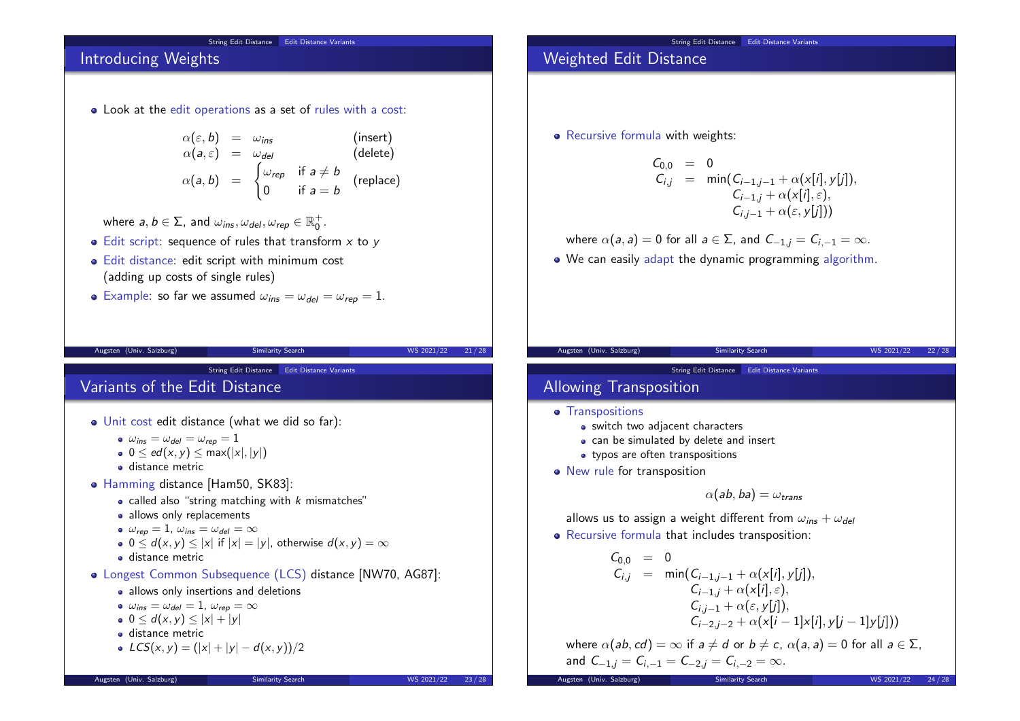#### String Edit Distance Edit Distance Variants

## Introducing Weights

Look at the edit operations as a set of rules with a cost:

$$
\alpha(\varepsilon, b) = \omega_{ins} \qquad \text{(insert)}\n\alpha(a, \varepsilon) = \omega_{del} \qquad \text{(delete)}\n\alpha(a, b) = \begin{cases}\n\omega_{rep} & \text{if } a \neq b \\
0 & \text{if } a = b\n\end{cases} \qquad \text{(replace)}
$$

where  $a,b\in\Sigma$ , and  $\omega_{\textit{ins}}, \omega_{\textit{del}}, \omega_{\textit{rep}}\in\mathbb{R}^{+}_{0}$ .

- $\bullet$  Edit script: sequence of rules that transform  $x$  to  $y$
- Edit distance: edit script with minimum cost (adding up costs of single rules)
- **•** Example: so far we assumed  $\omega_{ins} = \omega_{del} = \omega_{rep} = 1$ .

Augsten (Univ. Salzburg) Similarity Search WS 2021/22 21/28

# String Edit Distance Edit Distance Variants

# Variants of the Edit Distance

- Unit cost edit distance (what we did so far):
	- $\omega_{ins} = \omega_{del} = \omega_{ren} = 1$
	- 0  $0 \leq ed(x, y) \leq max(|x|, |y|)$
	- **o** distance metric
- Hamming distance [Ham50, SK83]:
	- called also "string matching with  $k$  mismatches"
	- allows only replacements

• 
$$
\omega_{rep} = 1
$$
,  $\omega_{ins} = \omega_{del} = \infty$ 

- $0 \le d(x, y) \le |x|$  if  $|x| = |y|$ , otherwise  $d(x, y) = \infty$
- **o** distance metric
- Longest Common Subsequence (LCS) distance [NW70, AG87]:
	- allows only insertions and deletions
	- $\omega_{ins} = \omega_{del} = 1$ ,  $\omega_{rep} = \infty$
	- $0 \leq d(x, y) \leq |x| + |y|$
	- **o** distance metric

• 
$$
LCS(x, y) = (|x| + |y| - d(x, y))/2
$$

## Weighted Edit Distance

• Recursive formula with weights:

$$
C_{0,0} = 0
$$
  
\n
$$
C_{i,j} = \min(C_{i-1,j-1} + \alpha(x[i], y[j]),
$$
  
\n
$$
C_{i-1,j} + \alpha(x[i], \varepsilon),
$$
  
\n
$$
C_{i,j-1} + \alpha(\varepsilon, y[j]))
$$

where  $\alpha(a, a) = 0$  for all  $a \in \Sigma$ , and  $C_{-1,i} = C_{i-1} = \infty$ .

• We can easily adapt the dynamic programming algorithm.

String Edit Distance Edit Distance Variants

Augsten (Univ. Salzburg) Similarity Search WS 2021/22 22/28

# Allowing Transposition

- **•** Transpositions
	- switch two adjacent characters
	- can be simulated by delete and insert
	- typos are often transpositions
- New rule for transposition

$$
\alpha(\mathsf{ab},\mathsf{ba})=\omega_{\mathsf{trans}}
$$

allows us to assign a weight different from  $\omega_{ins} + \omega_{del}$ 

Recursive formula that includes transposition:

$$
C_{0,0} = 0
$$
  
\n
$$
C_{i,j} = \min(C_{i-1,j-1} + \alpha(x[i], y[j]),
$$
  
\n
$$
C_{i-1,j} + \alpha(x[i], \varepsilon),
$$
  
\n
$$
C_{i,j-1} + \alpha(\varepsilon, y[j]),
$$
  
\n
$$
C_{i-2,j-2} + \alpha(x[i-1]x[i], y[j-1]y[j]))
$$

where  $\alpha(ab, cd) = \infty$  if  $a \neq d$  or  $b \neq c$ ,  $\alpha(a, a) = 0$  for all  $a \in \Sigma$ , and  $C_{-1,j} = C_{i,-1} = C_{-2,j} = C_{i,-2} = \infty$ .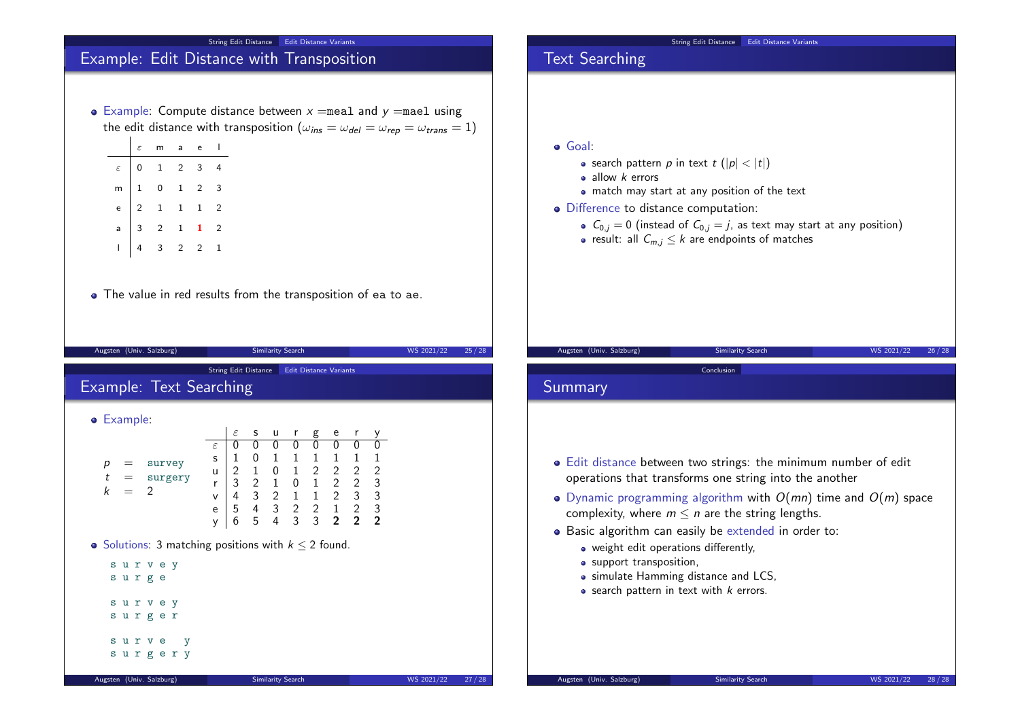